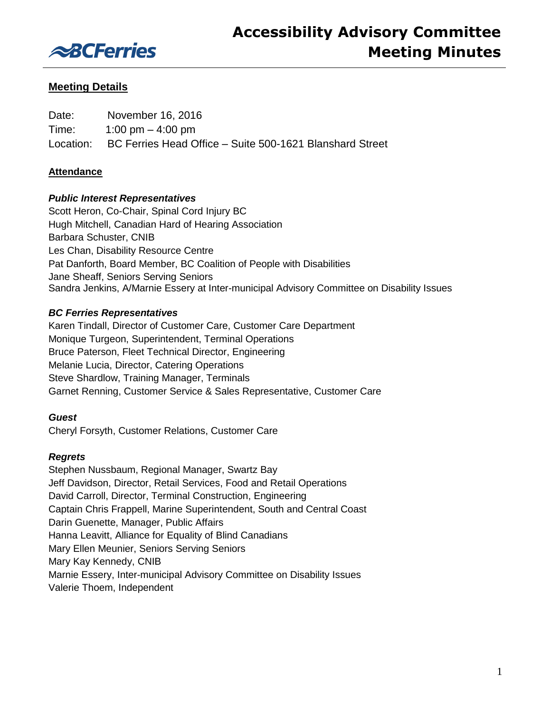

# **Meeting Details**

| Date: | November 16, 2016                                                  |
|-------|--------------------------------------------------------------------|
| Time: | 1:00 pm $-$ 4:00 pm                                                |
|       | Location: BC Ferries Head Office – Suite 500-1621 Blanshard Street |

## **Attendance**

# *Public Interest Representatives*

Scott Heron, Co-Chair, Spinal Cord Injury BC Hugh Mitchell, Canadian Hard of Hearing Association Barbara Schuster, CNIB Les Chan, Disability Resource Centre Pat Danforth, Board Member, BC Coalition of People with Disabilities Jane Sheaff, Seniors Serving Seniors Sandra Jenkins, A/Marnie Essery at Inter-municipal Advisory Committee on Disability Issues

# *BC Ferries Representatives*

Karen Tindall, Director of Customer Care, Customer Care Department Monique Turgeon, Superintendent, Terminal Operations Bruce Paterson, Fleet Technical Director, Engineering Melanie Lucia, Director, Catering Operations Steve Shardlow, Training Manager, Terminals Garnet Renning, Customer Service & Sales Representative, Customer Care

### *Guest*

Cheryl Forsyth, Customer Relations, Customer Care

### *Regrets*

Stephen Nussbaum, Regional Manager, Swartz Bay Jeff Davidson, Director, Retail Services, Food and Retail Operations David Carroll, Director, Terminal Construction, Engineering Captain Chris Frappell, Marine Superintendent, South and Central Coast Darin Guenette, Manager, Public Affairs Hanna Leavitt, Alliance for Equality of Blind Canadians Mary Ellen Meunier, Seniors Serving Seniors Mary Kay Kennedy, CNIB Marnie Essery, Inter-municipal Advisory Committee on Disability Issues Valerie Thoem, Independent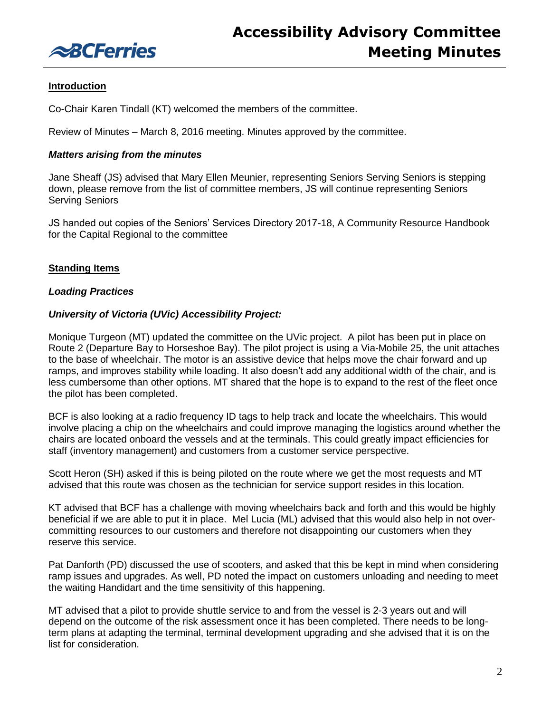

# **Introduction**

Co-Chair Karen Tindall (KT) welcomed the members of the committee.

Review of Minutes – March 8, 2016 meeting. Minutes approved by the committee.

### *Matters arising from the minutes*

Jane Sheaff (JS) advised that Mary Ellen Meunier, representing Seniors Serving Seniors is stepping down, please remove from the list of committee members, JS will continue representing Seniors Serving Seniors

JS handed out copies of the Seniors' Services Directory 2017-18, A Community Resource Handbook for the Capital Regional to the committee

### **Standing Items**

### *Loading Practices*

### *University of Victoria (UVic) Accessibility Project:*

Monique Turgeon (MT) updated the committee on the UVic project. A pilot has been put in place on Route 2 (Departure Bay to Horseshoe Bay). The pilot project is using a Via-Mobile 25, the unit attaches to the base of wheelchair. The motor is an assistive device that helps move the chair forward and up ramps, and improves stability while loading. It also doesn't add any additional width of the chair, and is less cumbersome than other options. MT shared that the hope is to expand to the rest of the fleet once the pilot has been completed.

BCF is also looking at a radio frequency ID tags to help track and locate the wheelchairs. This would involve placing a chip on the wheelchairs and could improve managing the logistics around whether the chairs are located onboard the vessels and at the terminals. This could greatly impact efficiencies for staff (inventory management) and customers from a customer service perspective.

Scott Heron (SH) asked if this is being piloted on the route where we get the most requests and MT advised that this route was chosen as the technician for service support resides in this location.

KT advised that BCF has a challenge with moving wheelchairs back and forth and this would be highly beneficial if we are able to put it in place. Mel Lucia (ML) advised that this would also help in not overcommitting resources to our customers and therefore not disappointing our customers when they reserve this service.

Pat Danforth (PD) discussed the use of scooters, and asked that this be kept in mind when considering ramp issues and upgrades. As well, PD noted the impact on customers unloading and needing to meet the waiting Handidart and the time sensitivity of this happening.

MT advised that a pilot to provide shuttle service to and from the vessel is 2-3 years out and will depend on the outcome of the risk assessment once it has been completed. There needs to be longterm plans at adapting the terminal, terminal development upgrading and she advised that it is on the list for consideration.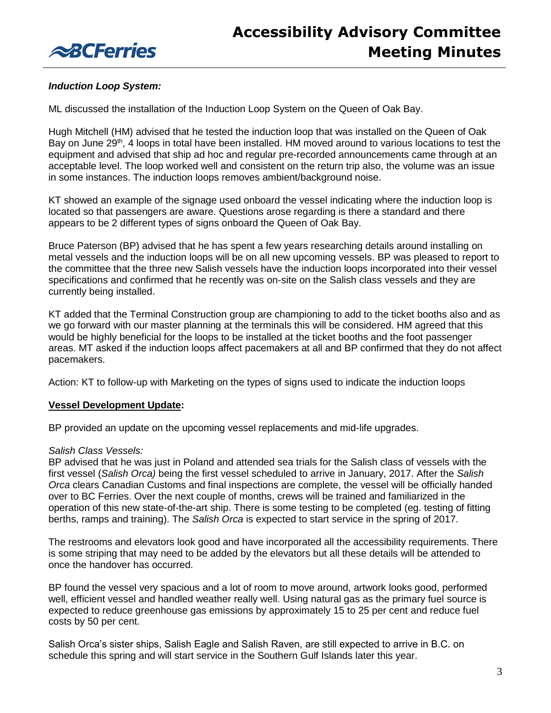

# *Induction Loop System:*

ML discussed the installation of the Induction Loop System on the Queen of Oak Bay.

Hugh Mitchell (HM) advised that he tested the induction loop that was installed on the Queen of Oak Bay on June 29<sup>th</sup>, 4 loops in total have been installed. HM moved around to various locations to test the equipment and advised that ship ad hoc and regular pre-recorded announcements came through at an acceptable level. The loop worked well and consistent on the return trip also, the volume was an issue in some instances. The induction loops removes ambient/background noise.

KT showed an example of the signage used onboard the vessel indicating where the induction loop is located so that passengers are aware. Questions arose regarding is there a standard and there appears to be 2 different types of signs onboard the Queen of Oak Bay.

Bruce Paterson (BP) advised that he has spent a few years researching details around installing on metal vessels and the induction loops will be on all new upcoming vessels. BP was pleased to report to the committee that the three new Salish vessels have the induction loops incorporated into their vessel specifications and confirmed that he recently was on-site on the Salish class vessels and they are currently being installed.

KT added that the Terminal Construction group are championing to add to the ticket booths also and as we go forward with our master planning at the terminals this will be considered. HM agreed that this would be highly beneficial for the loops to be installed at the ticket booths and the foot passenger areas. MT asked if the induction loops affect pacemakers at all and BP confirmed that they do not affect pacemakers.

Action: KT to follow-up with Marketing on the types of signs used to indicate the induction loops

### **Vessel Development Update:**

BP provided an update on the upcoming vessel replacements and mid-life upgrades.

#### *Salish Class Vessels:*

BP advised that he was just in Poland and attended sea trials for the Salish class of vessels with the first vessel (*Salish Orca)* being the first vessel scheduled to arrive in January, 2017. After the *Salish Orca* clears Canadian Customs and final inspections are complete, the vessel will be officially handed over to BC Ferries. Over the next couple of months, crews will be trained and familiarized in the operation of this new state-of-the-art ship. There is some testing to be completed (eg. testing of fitting berths, ramps and training). The *Salish Orca* is expected to start service in the spring of 2017.

The restrooms and elevators look good and have incorporated all the accessibility requirements. There is some striping that may need to be added by the elevators but all these details will be attended to once the handover has occurred.

BP found the vessel very spacious and a lot of room to move around, artwork looks good, performed well, efficient vessel and handled weather really well. Using natural gas as the primary fuel source is expected to reduce greenhouse gas emissions by approximately 15 to 25 per cent and reduce fuel costs by 50 per cent.

Salish Orca's sister ships, Salish Eagle and Salish Raven, are still expected to arrive in B.C. on schedule this spring and will start service in the Southern Gulf Islands later this year.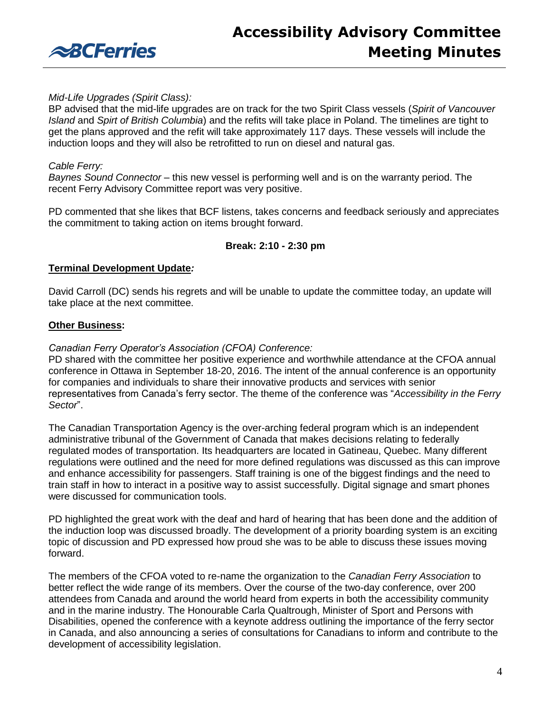

# *Mid-Life Upgrades (Spirit Class):*

BP advised that the mid-life upgrades are on track for the two Spirit Class vessels (*Spirit of Vancouver Island* and *Spirt of British Columbia*) and the refits will take place in Poland. The timelines are tight to get the plans approved and the refit will take approximately 117 days. These vessels will include the induction loops and they will also be retrofitted to run on diesel and natural gas.

## *Cable Ferry:*

*Baynes Sound Connector* – this new vessel is performing well and is on the warranty period. The recent Ferry Advisory Committee report was very positive.

PD commented that she likes that BCF listens, takes concerns and feedback seriously and appreciates the commitment to taking action on items brought forward.

### **Break: 2:10 - 2:30 pm**

### **Terminal Development Update***:*

David Carroll (DC) sends his regrets and will be unable to update the committee today, an update will take place at the next committee.

### **Other Business:**

### *Canadian Ferry Operator's Association (CFOA) Conference:*

PD shared with the committee her positive experience and worthwhile attendance at the CFOA annual conference in Ottawa in September 18-20, 2016. The intent of the annual conference is an opportunity for companies and individuals to share their innovative products and services with senior representatives from Canada's ferry sector. The theme of the conference was "*Accessibility in the Ferry Sector*".

The Canadian Transportation Agency is the over-arching federal program which is an independent administrative tribunal of the Government of Canada that makes decisions relating to federally regulated modes of transportation. Its headquarters are located in Gatineau, Quebec. Many different regulations were outlined and the need for more defined regulations was discussed as this can improve and enhance accessibility for passengers. Staff training is one of the biggest findings and the need to train staff in how to interact in a positive way to assist successfully. Digital signage and smart phones were discussed for communication tools.

PD highlighted the great work with the deaf and hard of hearing that has been done and the addition of the induction loop was discussed broadly. The development of a priority boarding system is an exciting topic of discussion and PD expressed how proud she was to be able to discuss these issues moving forward.

The members of the CFOA voted to re-name the organization to the *Canadian Ferry Association* to better reflect the wide range of its members. Over the course of the two-day conference, over 200 attendees from Canada and around the world heard from experts in both the accessibility community and in the marine industry. The Honourable Carla Qualtrough, Minister of Sport and Persons with Disabilities, opened the conference with a keynote address outlining the importance of the ferry sector in Canada, and also announcing a series of consultations for Canadians to inform and contribute to the development of accessibility legislation.